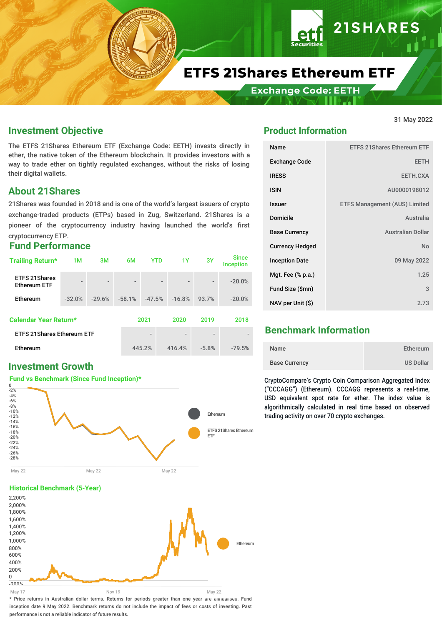

# **ETFS 21Shares Ethereum ETF**

**Exchange Code: EETH** 

#### **Investment Objective**

The ETFS 21Shares Ethereum ETF (Exchange Code: EETH) invests directly in ether, the native token of the Ethereum blockchain. It provides investors with a way to trade ether on tightly regulated exchanges, without the risks of losing their digital wallets.

#### **About 21Shares**

21Shares was founded in 2018 and is one of the world's largest issuers of crypto exchange-traded products (ETPs) based in Zug, Switzerland. 21Shares is a pioneer of the cryptocurrency industry having launched the world's first cryptocurrency ETP.

#### **Fund Performance**

| Trailing Return*                            | 1M                       | 3M                       | 6M                       | <b>YTD</b>               | 1Y                                                   | 3Y                       | <b>Since</b><br><b>Inception</b> |
|---------------------------------------------|--------------------------|--------------------------|--------------------------|--------------------------|------------------------------------------------------|--------------------------|----------------------------------|
| <b>ETFS 21Shares</b><br><b>Ethereum ETF</b> | $\overline{\phantom{a}}$ | $\overline{\phantom{a}}$ | $\overline{\phantom{a}}$ |                          | $\overline{\phantom{0}}$<br>$\overline{\phantom{a}}$ | $\overline{\phantom{0}}$ | $-20.0%$                         |
| Ethereum                                    | $-32.0%$                 | $-29.6%$                 | $-58.1%$                 | $-47.5%$                 | $-16.8%$                                             | 93.7%                    | $-20.0%$                         |
| Calendar Year Return*                       |                          |                          |                          | 2021                     | 2020                                                 | 2019                     | 2018                             |
| <b>ETFS 21Shares Ethereum ETF</b>           |                          |                          |                          | $\overline{\phantom{a}}$ | $\qquad \qquad \blacksquare$                         |                          |                                  |
| <b>Ethereum</b>                             |                          |                          | 445.2%                   | 416.4%                   | $-5.8%$                                              | $-79.5%$                 |                                  |

#### **Investment Growth**

#### **Fund vs Benchmark (Since Fund Inception)\***



#### **Historical Benchmark (5-Year)**



#### **Product Information**

| Name                   | <b>ETFS 21 Shares Ethereum ETF</b>   |
|------------------------|--------------------------------------|
| <b>Exchange Code</b>   | <b>EETH</b>                          |
| <b>IRESS</b>           | EETH.CXA                             |
| <b>ISIN</b>            | AU0000198012                         |
| <b>Issuer</b>          | <b>ETFS Management (AUS) Limited</b> |
| <b>Domicile</b>        | Australia                            |
| <b>Base Currency</b>   | <b>Australian Dollar</b>             |
| <b>Currency Hedged</b> | N <sub>o</sub>                       |
| <b>Inception Date</b>  | 09 May 2022                          |
| Mgt. Fee (% p.a.)      | 1.25                                 |
| Fund Size (\$mn)       | 3                                    |
| NAV per Unit (\$)      | 2.73                                 |

31 May 2022

**21SHARES** 

#### **Benchmark Information**

| Name                 | Ethereum         |
|----------------------|------------------|
| <b>Base Currency</b> | <b>US Dollar</b> |

CryptoCompare's Crypto Coin Comparison Aggregated Index ("CCCAGG") (Ethereum). CCCAGG represents a real-time, USD equivalent spot rate for ether. The index value is algorithmically calculated in real time based on observed trading activity on over 70 crypto exchanges.

\* Price returns in Australian dollar terms. Returns for periods greater than one year are annualised. Fund inception date 9 May 2022. Benchmark returns do not include the impact of fees or costs of investing. Past performance is not a reliable indicator of future results.